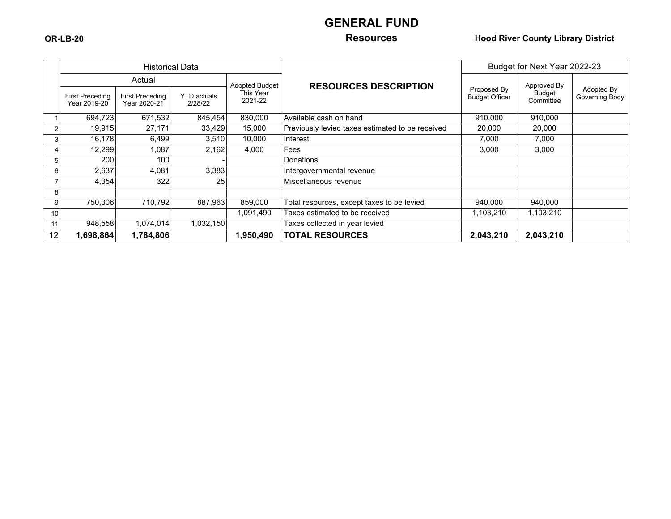# **GENERAL FUND**

### **OR-LB-20 Resources Hood River County Library District**

|    |                                        | <b>Historical Data</b>                 |                               |                              |                                                  | Budget for Next Year 2022-23         |                     |                              |  |
|----|----------------------------------------|----------------------------------------|-------------------------------|------------------------------|--------------------------------------------------|--------------------------------------|---------------------|------------------------------|--|
|    | Actual                                 |                                        | <b>Adopted Budget</b>         | <b>RESOURCES DESCRIPTION</b> |                                                  | Approved By                          |                     |                              |  |
|    | <b>First Preceding</b><br>Year 2019-20 | <b>First Preceding</b><br>Year 2020-21 | <b>YTD</b> actuals<br>2/28/22 | This Year<br>2021-22         |                                                  | Proposed By<br><b>Budget Officer</b> | Budget<br>Committee | Adopted By<br>Governing Body |  |
|    | 694,723                                | 671,532                                | 845,454                       | 830,000                      | Available cash on hand                           | 910,000                              | 910,000             |                              |  |
| 2  | 19,915                                 | 27,171                                 | 33,429                        | 15,000                       | Previously levied taxes estimated to be received | 20,000                               | 20,000              |                              |  |
|    | 16,178                                 | 6,499                                  | 3,510                         | 10,000                       | Interest                                         | 7,000                                | 7,000               |                              |  |
|    | 12,299                                 | 1,087                                  | 2,162                         | 4,000                        | Fees                                             | 3,000                                | 3,000               |                              |  |
|    | 200                                    | 100                                    |                               |                              | <b>Donations</b>                                 |                                      |                     |                              |  |
| 6  | 2,637                                  | 4,081                                  | 3,383                         |                              | Intergovernmental revenue                        |                                      |                     |                              |  |
|    | 4,354                                  | 322                                    | 25                            |                              | Miscellaneous revenue                            |                                      |                     |                              |  |
| 8  |                                        |                                        |                               |                              |                                                  |                                      |                     |                              |  |
| 9  | 750,306                                | 710,792                                | 887,963                       | 859,000                      | Total resources, except taxes to be levied       | 940,000                              | 940,000             |                              |  |
| 10 |                                        |                                        |                               | 1,091,490                    | Taxes estimated to be received                   | 1,103,210                            | 1,103,210           |                              |  |
| 11 | 948,558                                | 1,074,014                              | 1,032,150                     |                              | Taxes collected in year levied                   |                                      |                     |                              |  |
| 12 | 1,698,864                              | 1,784,806                              |                               | 1,950,490                    | <b>TOTAL RESOURCES</b>                           | 2,043,210                            | 2,043,210           |                              |  |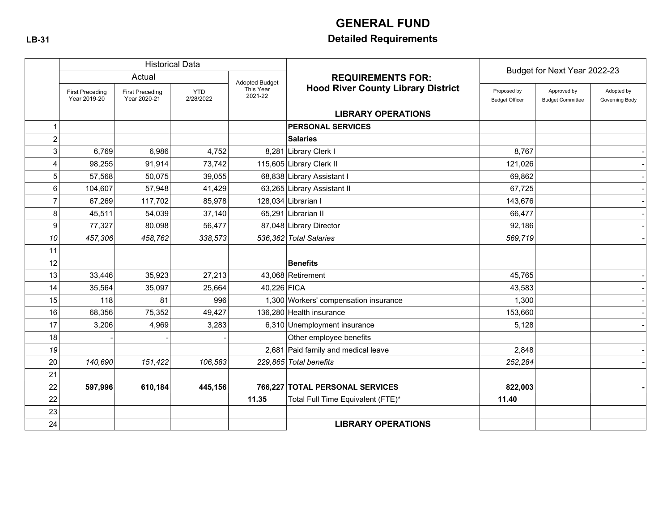# **GENERAL FUND**

# **LB-31 Detailed Requirements**

|                  |                                        |                                        | <b>Historical Data</b>  |                       |                                           | Budget for Next Year 2022-23         |                                        |                              |  |
|------------------|----------------------------------------|----------------------------------------|-------------------------|-----------------------|-------------------------------------------|--------------------------------------|----------------------------------------|------------------------------|--|
|                  |                                        | Actual                                 |                         | <b>Adopted Budget</b> | <b>REQUIREMENTS FOR:</b>                  |                                      |                                        |                              |  |
|                  | <b>First Preceding</b><br>Year 2019-20 | <b>First Preceding</b><br>Year 2020-21 | <b>YTD</b><br>2/28/2022 | This Year<br>2021-22  | <b>Hood River County Library District</b> | Proposed by<br><b>Budget Officer</b> | Approved by<br><b>Budget Committee</b> | Adopted by<br>Governing Body |  |
|                  |                                        |                                        |                         |                       | <b>LIBRARY OPERATIONS</b>                 |                                      |                                        |                              |  |
|                  |                                        |                                        |                         |                       | <b>PERSONAL SERVICES</b>                  |                                      |                                        |                              |  |
| $\boldsymbol{2}$ |                                        |                                        |                         |                       | <b>Salaries</b>                           |                                      |                                        |                              |  |
| 3                | 6,769                                  | 6,986                                  | 4,752                   |                       | 8,281 Library Clerk I                     | 8,767                                |                                        |                              |  |
| 4                | 98,255                                 | 91,914                                 | 73,742                  |                       | 115,605 Library Clerk II                  | 121,026                              |                                        |                              |  |
| 5                | 57,568                                 | 50,075                                 | 39,055                  |                       | 68,838 Library Assistant I                | 69,862                               |                                        |                              |  |
| 6                | 104,607                                | 57,948                                 | 41,429                  |                       | 63,265 Library Assistant II               | 67,725                               |                                        |                              |  |
| $\overline{7}$   | 67,269                                 | 117,702                                | 85,978                  |                       | 128,034 Librarian I                       | 143,676                              |                                        |                              |  |
| 8                | 45,511                                 | 54,039                                 | 37,140                  |                       | 65,291 Librarian II                       | 66,477                               |                                        |                              |  |
| 9                | 77,327                                 | 80,098                                 | 56,477                  |                       | 87,048 Library Director                   | 92,186                               |                                        |                              |  |
| 10               | 457,306                                | 458.762                                | 338,573                 |                       | 536.362 Total Salaries                    | 569,719                              |                                        |                              |  |
| 11               |                                        |                                        |                         |                       |                                           |                                      |                                        |                              |  |
| 12               |                                        |                                        |                         |                       | <b>Benefits</b>                           |                                      |                                        |                              |  |
| 13               | 33,446                                 | 35,923                                 | 27,213                  |                       | 43,068 Retirement                         | 45,765                               |                                        |                              |  |
| 14               | 35,564                                 | 35,097                                 | 25,664                  | 40,226 FICA           |                                           | 43,583                               |                                        |                              |  |
| 15               | 118                                    | 81                                     | 996                     |                       | 1,300 Workers' compensation insurance     | 1,300                                |                                        |                              |  |
| 16               | 68,356                                 | 75,352                                 | 49,427                  |                       | 136,280 Health insurance                  | 153,660                              |                                        |                              |  |
| 17               | 3,206                                  | 4,969                                  | 3,283                   |                       | 6,310 Unemployment insurance              | 5,128                                |                                        |                              |  |
| 18               |                                        |                                        |                         |                       | Other employee benefits                   |                                      |                                        |                              |  |
| 19               |                                        |                                        |                         |                       | 2,681 Paid family and medical leave       | 2,848                                |                                        |                              |  |
| 20               | 140,690                                | 151,422                                | 106,583                 |                       | 229,865 Total benefits                    | 252,284                              |                                        |                              |  |
| 21               |                                        |                                        |                         |                       |                                           |                                      |                                        |                              |  |
| 22               | 597,996                                | 610,184                                | 445,156                 |                       | 766,227 TOTAL PERSONAL SERVICES           | 822,003                              |                                        |                              |  |
| 22               |                                        |                                        |                         | 11.35                 | Total Full Time Equivalent (FTE)*         | 11.40                                |                                        |                              |  |
| 23               |                                        |                                        |                         |                       |                                           |                                      |                                        |                              |  |
| 24               |                                        |                                        |                         |                       | <b>LIBRARY OPERATIONS</b>                 |                                      |                                        |                              |  |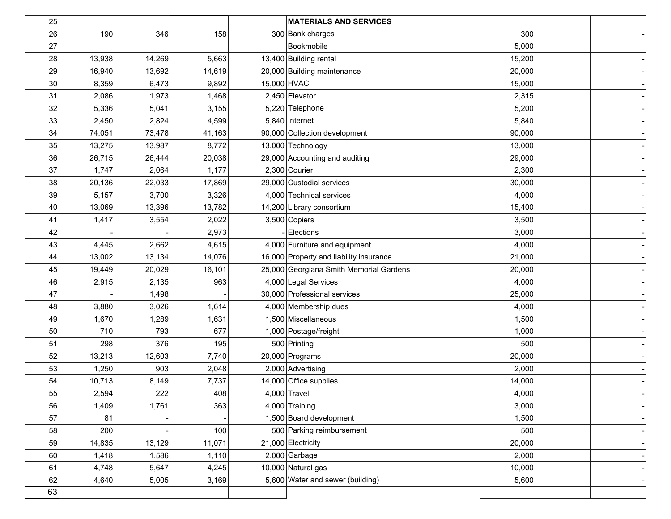| 25 |        |        |        | <b>MATERIALS AND SERVICES</b>           |        |  |
|----|--------|--------|--------|-----------------------------------------|--------|--|
| 26 | 190    | 346    | 158    | 300 Bank charges                        | 300    |  |
| 27 |        |        |        | Bookmobile                              | 5,000  |  |
| 28 | 13,938 | 14,269 | 5,663  | 13,400 Building rental                  | 15,200 |  |
| 29 | 16,940 | 13,692 | 14,619 | 20,000 Building maintenance             | 20,000 |  |
| 30 | 8,359  | 6,473  | 9,892  | 15,000 HVAC                             | 15,000 |  |
| 31 | 2,086  | 1,973  | 1,468  | 2,450 Elevator                          | 2,315  |  |
| 32 | 5,336  | 5,041  | 3,155  | 5,220 Telephone                         | 5,200  |  |
| 33 | 2,450  | 2,824  | 4,599  | $5,840$ Internet                        | 5,840  |  |
| 34 | 74,051 | 73,478 | 41,163 | 90,000 Collection development           | 90,000 |  |
| 35 | 13,275 | 13,987 | 8,772  | 13,000 Technology                       | 13,000 |  |
| 36 | 26,715 | 26,444 | 20,038 | 29,000 Accounting and auditing          | 29,000 |  |
| 37 | 1,747  | 2,064  | 1,177  | $2,300$ Courier                         | 2,300  |  |
| 38 | 20,136 | 22,033 | 17,869 | 29,000 Custodial services               | 30,000 |  |
| 39 | 5,157  | 3,700  | 3,326  | 4,000 Technical services                | 4,000  |  |
| 40 | 13,069 | 13,396 | 13,782 | 14,200 Library consortium               | 15,400 |  |
| 41 | 1,417  | 3,554  | 2,022  | $3,500$ Copiers                         | 3,500  |  |
| 42 |        |        | 2,973  | Elections                               | 3,000  |  |
| 43 | 4,445  | 2,662  | 4,615  | 4,000 Furniture and equipment           | 4,000  |  |
| 44 | 13,002 | 13,134 | 14,076 | 16,000 Property and liability insurance | 21,000 |  |
| 45 | 19,449 | 20,029 | 16,101 | 25,000 Georgiana Smith Memorial Gardens | 20,000 |  |
| 46 | 2,915  | 2,135  | 963    | 4,000 Legal Services                    | 4,000  |  |
| 47 |        | 1,498  |        | 30,000 Professional services            | 25,000 |  |
| 48 | 3,880  | 3,026  | 1,614  | 4,000 Membership dues                   | 4,000  |  |
| 49 | 1,670  | 1,289  | 1,631  | 1,500 Miscellaneous                     | 1,500  |  |
| 50 | 710    | 793    | 677    | 1,000 Postage/freight                   | 1,000  |  |
| 51 | 298    | 376    | 195    | 500 Printing                            | 500    |  |
| 52 | 13,213 | 12,603 | 7,740  | 20,000 Programs                         | 20,000 |  |
| 53 | 1,250  | 903    | 2,048  | 2,000 Advertising                       | 2,000  |  |
| 54 | 10,713 | 8,149  | 7,737  | 14,000 Office supplies                  | 14,000 |  |
| 55 | 2,594  | 222    | 408    | $4,000$ Travel                          | 4,000  |  |
| 56 | 1,409  | 1,761  | 363    | 4,000 Training                          | 3,000  |  |
| 57 | 81     |        |        | 1,500 Board development                 | 1,500  |  |
| 58 | 200    |        | 100    | 500 Parking reimbursement               | 500    |  |
| 59 | 14,835 | 13,129 | 11,071 | 21,000 Electricity                      | 20,000 |  |
| 60 | 1,418  | 1,586  | 1,110  | $2,000$ Garbage                         | 2,000  |  |
| 61 | 4,748  | 5,647  | 4,245  | 10,000 Natural gas                      | 10,000 |  |
| 62 | 4,640  | 5,005  | 3,169  | 5,600 Water and sewer (building)        | 5,600  |  |
| 63 |        |        |        |                                         |        |  |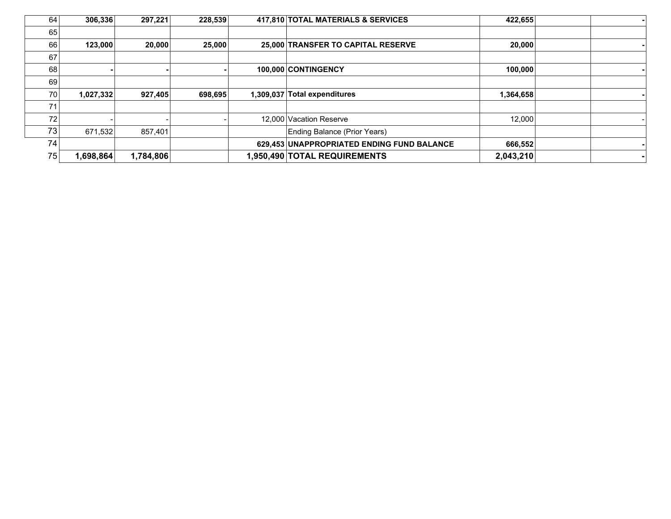| 64 | 306,336   | 297,221   | 228,539 | 417,810 TOTAL MATERIALS & SERVICES         | 422,655   |  |
|----|-----------|-----------|---------|--------------------------------------------|-----------|--|
| 65 |           |           |         |                                            |           |  |
| 66 | 123,000   | 20,000    | 25,000  | 25,000 TRANSFER TO CAPITAL RESERVE         | 20,000    |  |
| 67 |           |           |         |                                            |           |  |
| 68 |           |           |         | 100,000 CONTINGENCY                        | 100,000   |  |
| 69 |           |           |         |                                            |           |  |
| 70 | 1,027,332 | 927,405   | 698,695 | 1,309,037 Total expenditures               | 1,364,658 |  |
| 71 |           |           |         |                                            |           |  |
| 72 |           |           |         | 12,000 Vacation Reserve                    | 12,000    |  |
| 73 | 671,532   | 857,401   |         | Ending Balance (Prior Years)               |           |  |
| 74 |           |           |         | 629,453 UNAPPROPRIATED ENDING FUND BALANCE | 666,552   |  |
| 75 | 1,698,864 | 1,784,806 |         | 1,950,490 TOTAL REQUIREMENTS               | 2,043,210 |  |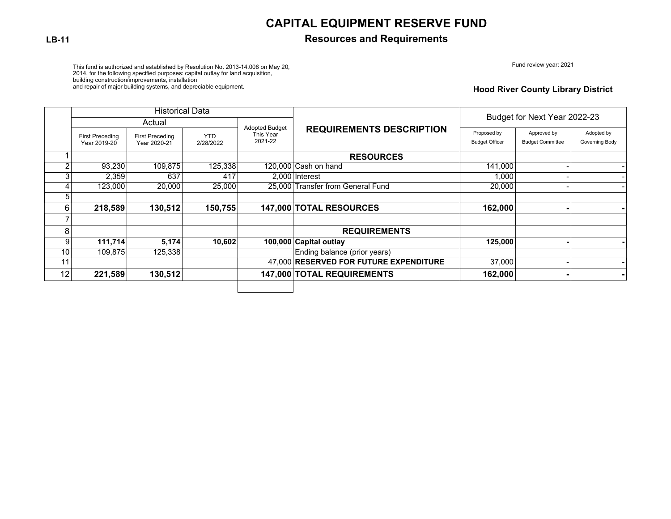## **CAPITAL EQUIPMENT RESERVE FUND**

### **LB-11 Resources and Requirements**

Fund review year: 2021

This fund is authorized and established by Resolution No. 2013-14.008 on May 20,<br>2014, for the following specified purposes: capital outlay for land acquisition,<br>building construction/improvements, installation

and repair of major building systems, and depreciable equipment.

#### **Hood River County Library District**

|    | <b>Historical Data</b>                 |                                        |                         |                       |                                        |                                      |                                        |                              |  |
|----|----------------------------------------|----------------------------------------|-------------------------|-----------------------|----------------------------------------|--------------------------------------|----------------------------------------|------------------------------|--|
|    |                                        | Actual                                 |                         | <b>Adopted Budget</b> |                                        | Budget for Next Year 2022-23         |                                        |                              |  |
|    | <b>First Preceding</b><br>Year 2019-20 | <b>First Preceding</b><br>Year 2020-21 | <b>YTD</b><br>2/28/2022 | This Year<br>2021-22  | <b>REQUIREMENTS DESCRIPTION</b>        | Proposed by<br><b>Budget Officer</b> | Approved by<br><b>Budget Committee</b> | Adopted by<br>Governing Body |  |
|    |                                        |                                        |                         |                       | <b>RESOURCES</b>                       |                                      |                                        |                              |  |
| C  | 93,230                                 | 109,875                                | 125,338                 |                       | 120,000 Cash on hand                   | 141,000                              |                                        |                              |  |
| ົ  | 2,359                                  | 637                                    | 417                     |                       | 2.000 Interest                         | 1,000                                |                                        |                              |  |
| 4  | 123,000                                | 20,000                                 | 25,000                  |                       | 25.000 Transfer from General Fund      | 20,000                               |                                        |                              |  |
| 5  |                                        |                                        |                         |                       |                                        |                                      |                                        |                              |  |
| 6  | 218,589                                | 130,512                                | 150,755                 |                       | 147,000 TOTAL RESOURCES                | 162,000                              |                                        |                              |  |
|    |                                        |                                        |                         |                       |                                        |                                      |                                        |                              |  |
| 8  |                                        |                                        |                         |                       | <b>REQUIREMENTS</b>                    |                                      |                                        |                              |  |
| 9  | 111,714                                | 5,174                                  | 10,602                  |                       | 100,000 Capital outlay                 | 125,000                              |                                        |                              |  |
| 10 | 109,875                                | 125,338                                |                         |                       | Ending balance (prior years)           |                                      |                                        |                              |  |
| 11 |                                        |                                        |                         |                       | 47,000 RESERVED FOR FUTURE EXPENDITURE | 37,000                               |                                        |                              |  |
| 12 | 221,589                                | 130,512                                |                         |                       | 147,000 TOTAL REQUIREMENTS             | 162,000                              |                                        |                              |  |
|    |                                        |                                        |                         |                       |                                        |                                      |                                        |                              |  |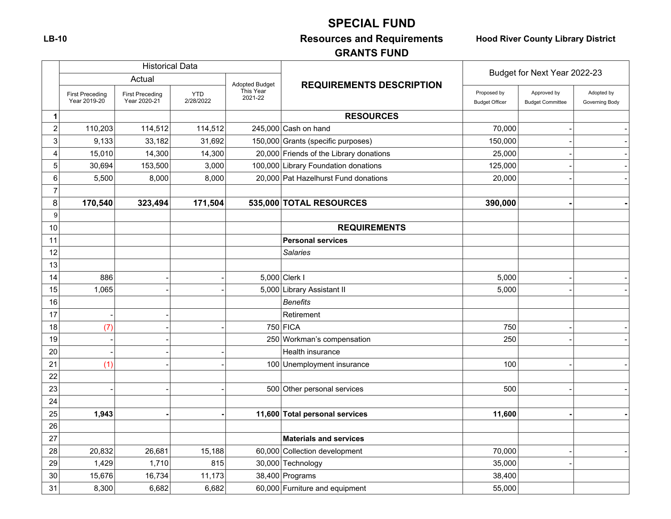# **SPECIAL FUND**

# **LB-10 Resources and Requirements Hood River County Library District**

# **GRANTS FUND**

|                  |                                        | <b>Historical Data</b>                 |                         |                                                          |                                         | Budget for Next Year 2022-23           |                              |  |  |  |
|------------------|----------------------------------------|----------------------------------------|-------------------------|----------------------------------------------------------|-----------------------------------------|----------------------------------------|------------------------------|--|--|--|
|                  |                                        | Actual                                 |                         | <b>REQUIREMENTS DESCRIPTION</b><br><b>Adopted Budget</b> |                                         |                                        |                              |  |  |  |
|                  | <b>First Preceding</b><br>Year 2019-20 | <b>First Preceding</b><br>Year 2020-21 | <b>YTD</b><br>2/28/2022 | This Year<br>2021-22                                     | Proposed by<br><b>Budget Officer</b>    | Approved by<br><b>Budget Committee</b> | Adopted by<br>Governing Body |  |  |  |
| $\mathbf 1$      |                                        |                                        |                         |                                                          | <b>RESOURCES</b>                        |                                        |                              |  |  |  |
| $\boldsymbol{2}$ | 110,203                                | 114,512                                | 114,512                 |                                                          | 245,000 Cash on hand                    | 70,000                                 |                              |  |  |  |
| 3                | 9,133                                  | 33,182                                 | 31,692                  |                                                          | 150,000 Grants (specific purposes)      | 150,000                                |                              |  |  |  |
| 4                | 15,010                                 | 14,300                                 | 14,300                  |                                                          | 20,000 Friends of the Library donations | 25,000                                 |                              |  |  |  |
| 5                | 30,694                                 | 153,500                                | 3,000                   |                                                          | 100,000 Library Foundation donations    | 125,000                                |                              |  |  |  |
| 6                | 5,500                                  | 8,000                                  | 8,000                   |                                                          | 20,000 Pat Hazelhurst Fund donations    | 20,000                                 |                              |  |  |  |
| $\overline{7}$   |                                        |                                        |                         |                                                          |                                         |                                        |                              |  |  |  |
| 8                | 170,540                                | 323,494                                | 171,504                 |                                                          | 535,000 TOTAL RESOURCES                 | 390,000                                |                              |  |  |  |
| 9                |                                        |                                        |                         |                                                          |                                         |                                        |                              |  |  |  |
| 10               |                                        |                                        |                         |                                                          | <b>REQUIREMENTS</b>                     |                                        |                              |  |  |  |
| 11               |                                        |                                        |                         |                                                          | <b>Personal services</b>                |                                        |                              |  |  |  |
| 12               |                                        |                                        |                         |                                                          | <b>Salaries</b>                         |                                        |                              |  |  |  |
| 13               |                                        |                                        |                         |                                                          |                                         |                                        |                              |  |  |  |
| 14               | 886                                    |                                        |                         |                                                          | 5,000 Clerk I                           | 5,000                                  |                              |  |  |  |
| 15               | 1,065                                  |                                        |                         |                                                          | 5,000 Library Assistant II              | 5,000                                  |                              |  |  |  |
| 16               |                                        |                                        |                         |                                                          | <b>Benefits</b>                         |                                        |                              |  |  |  |
| 17               |                                        |                                        |                         |                                                          | Retirement                              |                                        |                              |  |  |  |
| 18               | (7)                                    |                                        |                         |                                                          | $750$ FICA                              | 750                                    |                              |  |  |  |
| 19               |                                        |                                        |                         |                                                          | 250 Workman's compensation              | 250                                    |                              |  |  |  |
| 20               |                                        |                                        |                         |                                                          | <b>Health insurance</b>                 |                                        |                              |  |  |  |
| 21               | (1)                                    |                                        |                         |                                                          | 100 Unemployment insurance              | 100                                    |                              |  |  |  |
| 22               |                                        |                                        |                         |                                                          |                                         |                                        |                              |  |  |  |
| 23               |                                        |                                        |                         |                                                          | 500 Other personal services             | 500                                    |                              |  |  |  |
| 24               |                                        |                                        |                         |                                                          |                                         |                                        |                              |  |  |  |
| 25               | 1,943                                  |                                        |                         |                                                          | 11,600 Total personal services          | 11,600                                 |                              |  |  |  |
| 26               |                                        |                                        |                         |                                                          |                                         |                                        |                              |  |  |  |
| 27               |                                        |                                        |                         |                                                          | <b>Materials and services</b>           |                                        |                              |  |  |  |
| 28               | 20,832                                 | 26,681                                 | 15,188                  |                                                          | 60,000 Collection development           | 70,000                                 |                              |  |  |  |
| 29               | 1,429                                  | 1,710                                  | 815                     |                                                          | 30,000 Technology                       | 35,000                                 |                              |  |  |  |
| 30               | 15,676                                 | 16,734                                 | 11,173                  |                                                          | 38,400 Programs                         | 38,400                                 |                              |  |  |  |
| 31               | 8,300                                  | 6,682                                  | 6,682                   |                                                          | 60,000 Furniture and equipment          | 55,000                                 |                              |  |  |  |

 $\Gamma$